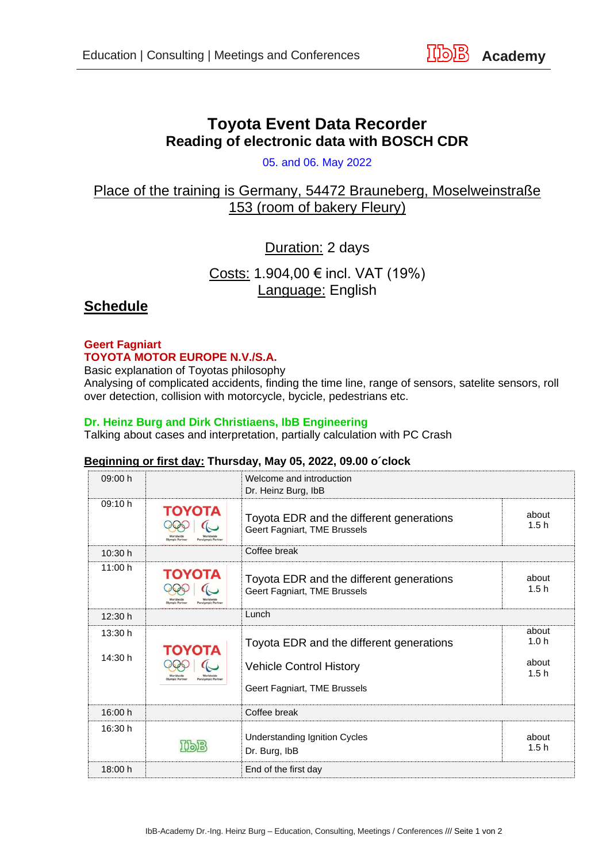# **Toyota Event Data Recorder Reading of electronic data with BOSCH CDR**

05. and 06. May 2022

## Place of the training is Germany, 54472 Brauneberg, Moselweinstraße 153 (room of bakery Fleury)

## Duration: 2 days

Costs: 1.904,00 € incl. VAT (19%) Language: English

### **Schedule**

#### **Geert Fagniart TOYOTA MOTOR EUROPE N.V./S.A.**

Basic explanation of Toyotas philosophy

Analysing of complicated accidents, finding the time line, range of sensors, satelite sensors, roll over detection, collision with motorcycle, bycicle, pedestrians etc.

#### **Dr. Heinz Burg and Dirk Christiaens, IbB Engineering**

Talking about cases and interpretation, partially calculation with PC Crash

#### **Beginning or first day: Thursday, May 05, 2022, 09.00 o´clock**

| 09:00 h            |                                  | Welcome and introduction<br>Dr. Heinz Burg, IbB                                                            |                                            |
|--------------------|----------------------------------|------------------------------------------------------------------------------------------------------------|--------------------------------------------|
| 09:10 h            | ΤΟΥΟΤΑ                           | Toyota EDR and the different generations<br>Geert Fagniart, TME Brussels                                   | about<br>1.5h                              |
| 10:30 h            |                                  | Coffee break                                                                                               |                                            |
| 11:00 h            | ΤΟΥΟΤΑ<br>Olympic Partne         | Toyota EDR and the different generations<br>Geert Fagniart, TME Brussels                                   | about<br>1.5h                              |
| 12:30 h            |                                  | Lunch                                                                                                      |                                            |
| 13:30 h<br>14:30 h | ΤΟΥΟΤΑ<br><b>Olympic Partner</b> | Toyota EDR and the different generations<br><b>Vehicle Control History</b><br>Geert Fagniart, TME Brussels | about<br>1.0 <sub>h</sub><br>about<br>1.5h |
| 16:00 h            |                                  | Coffee break                                                                                               |                                            |
| 16:30 h            |                                  | <b>Understanding Ignition Cycles</b><br>Dr. Burg, IbB                                                      | about<br>1.5h                              |
| 18:00 h            |                                  | End of the first day                                                                                       |                                            |